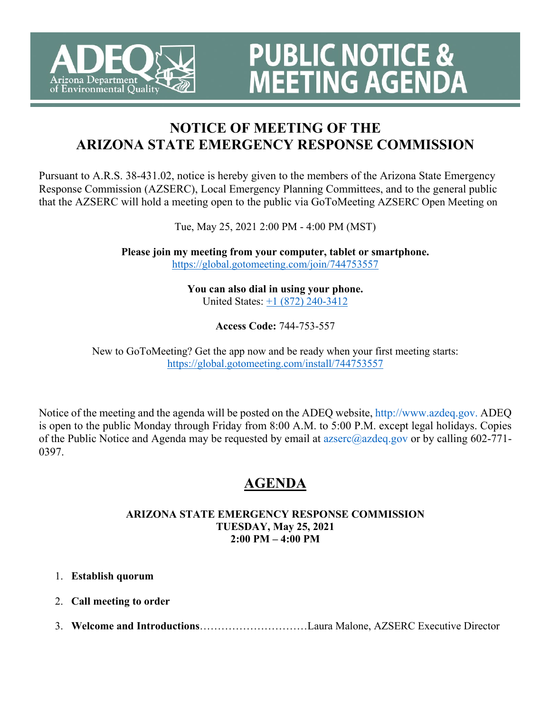

# **NOTICE OF MEETING OF THE ARIZONA STATE EMERGENCY RESPONSE COMMISSION**

**PUBLIC NOTICE &<br>MEETING AGENDA** 

Pursuant to A.R.S. 38-431.02, notice is hereby given to the members of the Arizona State Emergency Response Commission (AZSERC), Local Emergency Planning Committees, and to the general public that the AZSERC will hold a meeting open to the public via GoToMeeting AZSERC Open Meeting on

Tue, May 25, 2021 2:00 PM - 4:00 PM (MST)

**Please join my meeting from your computer, tablet or smartphone.**  <https://global.gotomeeting.com/join/744753557>

> **You can also dial in using your phone.** United States: [+1 \(872\) 240-3412](tel:+18722403412,,744753557)

> > **Access Code:** 744-753-557

New to GoToMeeting? Get the app now and be ready when your first meeting starts: <https://global.gotomeeting.com/install/744753557>

Notice of the meeting and the agenda will be posted on the ADEQ website, http://www.azdeq.gov. ADEQ is open to the public Monday through Friday from 8:00 A.M. to 5:00 P.M. except legal holidays. Copies of the Public Notice and Agenda may be requested by email at  $a\bar{z}$  azdeq.gov or by calling 602-771-0397.

# **AGENDA**

#### **ARIZONA STATE EMERGENCY RESPONSE COMMISSION TUESDAY, May 25, 2021 2:00 PM – 4:00 PM**

- 1. **Establish quorum**
- 2. **Call meeting to order**
- 3. **Welcome and Introductions**…………………………Laura Malone, AZSERC Executive Director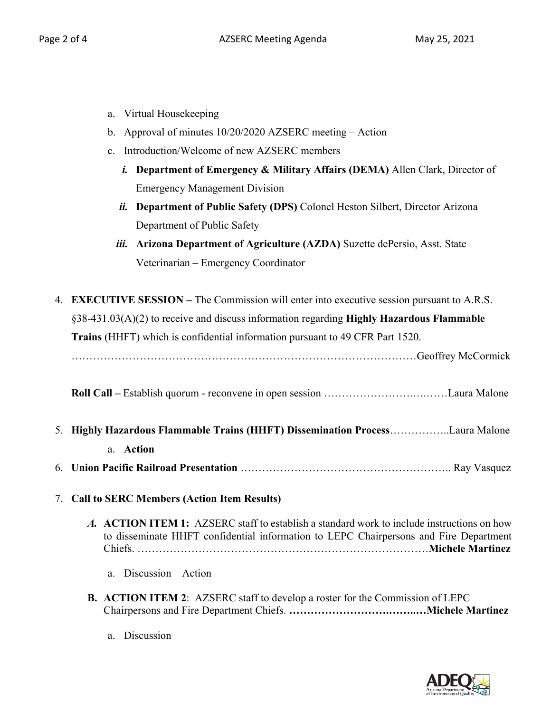- a. Virtual Housekeeping
- b. Approval of minutes 10/20/2020 AZSERC meeting Action
- c. Introduction/Welcome of new AZSERC members
	- *i.* **Department of Emergency & Military Affairs (DEMA)** Allen Clark, Director of Emergency Management Division
	- *ii.* **Department of Public Safety (DPS)** Colonel Heston Silbert, Director Arizona Department of Public Safety
	- *iii.* **Arizona Department of Agriculture (AZDA)** Suzette dePersio, Asst. State Veterinarian – Emergency Coordinator
- 4. **EXECUTIVE SESSION** The Commission will enter into executive session pursuant to A.R.S. §38-431.03(A)(2) to receive and discuss information regarding **Highly Hazardous Flammable Trains** (HHFT) which is confidential information pursuant to 49 CFR Part 1520. ……………………………………………………………………………………Geoffrey McCormick **Roll Call –** Establish quorum - reconvene in open session …………………….….……Laura Malone 5. **Highly Hazardous Flammable Trains (HHFT) Dissemination Process**……………..Laura Malone a. **Action** 6. **Union Pacific Railroad Presentation** ………………………………………………….. Ray Vasquez 7. **Call to SERC Members (Action Item Results)** *A.* **ACTION ITEM 1:** AZSERC staff to establish a standard work to include instructions on how to disseminate HHFT confidential information to LEPC Chairpersons and Fire Department Chiefs. ………………………………………………………………………**Michele Martinez** a. Discussion – Action
	- **B. ACTION ITEM 2**: AZSERC staff to develop a roster for the Commission of LEPC Chairpersons and Fire Department Chiefs. **……………………….……..…Michele Martinez**
		- a. Discussion

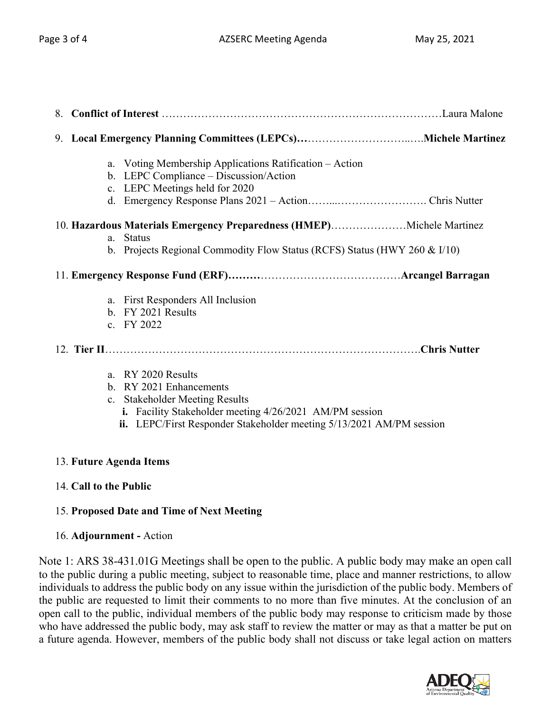| 8. |                                                                                                                                                                                                                    |
|----|--------------------------------------------------------------------------------------------------------------------------------------------------------------------------------------------------------------------|
|    |                                                                                                                                                                                                                    |
|    | a. Voting Membership Applications Ratification - Action<br>b. LEPC Compliance - Discussion/Action<br>c. LEPC Meetings held for 2020                                                                                |
|    | 10. Hazardous Materials Emergency Preparedness (HMEP)Michele Martinez<br>a. Status<br>b. Projects Regional Commodity Flow Status (RCFS) Status (HWY 260 & I/10)                                                    |
|    |                                                                                                                                                                                                                    |
|    | a. First Responders All Inclusion<br>b. FY 2021 Results<br>c. FY 2022                                                                                                                                              |
|    |                                                                                                                                                                                                                    |
|    | a. RY 2020 Results<br>b. RY 2021 Enhancements<br>c. Stakeholder Meeting Results<br>i. Facility Stakeholder meeting 4/26/2021 AM/PM session<br>ii. LEPC/First Responder Stakeholder meeting 5/13/2021 AM/PM session |

## 13. **Future Agenda Items**

## 14. **Call to the Public**

## 15. **Proposed Date and Time of Next Meeting**

#### 16. **Adjournment -** Action

Note 1: ARS 38-431.01G Meetings shall be open to the public. A public body may make an open call to the public during a public meeting, subject to reasonable time, place and manner restrictions, to allow individuals to address the public body on any issue within the jurisdiction of the public body. Members of the public are requested to limit their comments to no more than five minutes. At the conclusion of an open call to the public, individual members of the public body may response to criticism made by those who have addressed the public body, may ask staff to review the matter or may as that a matter be put on a future agenda. However, members of the public body shall not discuss or take legal action on matters